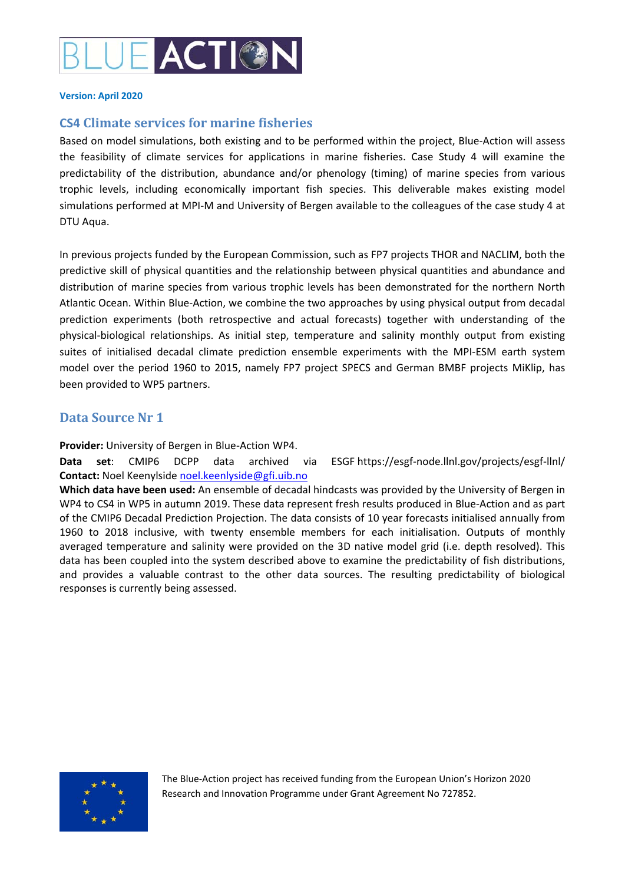

#### **Version: April 2020**

# **CS4 Climate services for marine fisheries**

Based on model simulations, both existing and to be performed within the project, Blue‐Action will assess the feasibility of climate services for applications in marine fisheries. Case Study 4 will examine the predictability of the distribution, abundance and/or phenology (timing) of marine species from various trophic levels, including economically important fish species. This deliverable makes existing model simulations performed at MPI‐M and University of Bergen available to the colleagues of the case study 4 at DTU Aqua.

In previous projects funded by the European Commission, such as FP7 projects THOR and NACLIM, both the predictive skill of physical quantities and the relationship between physical quantities and abundance and distribution of marine species from various trophic levels has been demonstrated for the northern North Atlantic Ocean. Within Blue‐Action, we combine the two approaches by using physical output from decadal prediction experiments (both retrospective and actual forecasts) together with understanding of the physical‐biological relationships. As initial step, temperature and salinity monthly output from existing suites of initialised decadal climate prediction ensemble experiments with the MPI-ESM earth system model over the period 1960 to 2015, namely FP7 project SPECS and German BMBF projects MiKlip, has been provided to WP5 partners.

# **Data Source Nr 1**

**Provider:** University of Bergen in Blue‐Action WP4.

**Data set**: CMIP6 DCPP data archived via ESGF https://esgf‐node.llnl.gov/projects/esgf‐llnl/ **Contact:** Noel Keenylside noel.keenlyside@gfi.uib.no

**Which data have been used:** An ensemble of decadal hindcasts was provided by the University of Bergen in WP4 to CS4 in WP5 in autumn 2019. These data represent fresh results produced in Blue‐Action and as part of the CMIP6 Decadal Prediction Projection. The data consists of 10 year forecasts initialised annually from 1960 to 2018 inclusive, with twenty ensemble members for each initialisation. Outputs of monthly averaged temperature and salinity were provided on the 3D native model grid (i.e. depth resolved). This data has been coupled into the system described above to examine the predictability of fish distributions, and provides a valuable contrast to the other data sources. The resulting predictability of biological responses is currently being assessed.



The Blue‐Action project has received funding from the European Union's Horizon 2020 Research and Innovation Programme under Grant Agreement No 727852.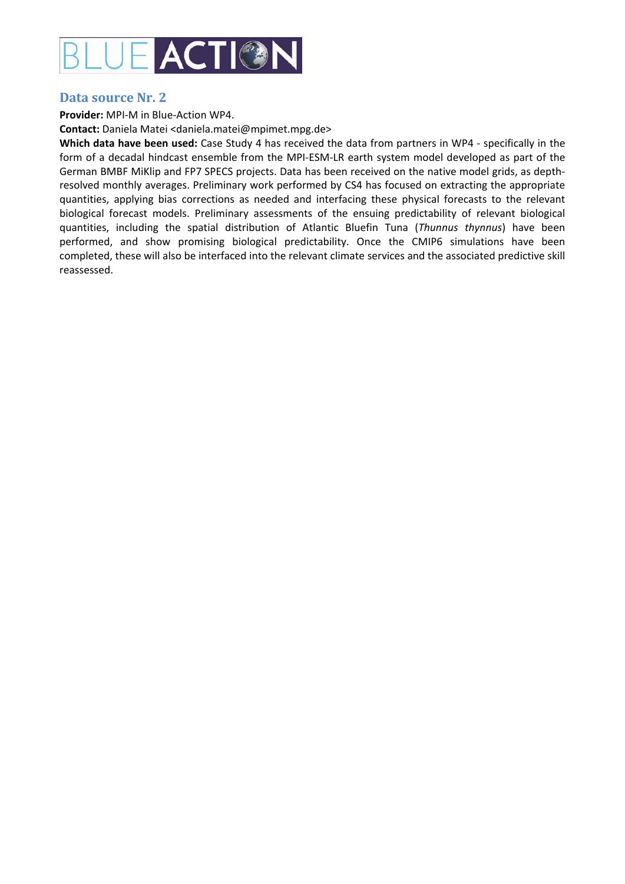

### **Data source Nr. 2**

**Provider:** MPI‐M in Blue‐Action WP4.

**Contact:** Daniela Matei <daniela.matei@mpimet.mpg.de>

**Which data have been used:** Case Study 4 has received the data from partners in WP4 ‐ specifically in the form of a decadal hindcast ensemble from the MPI‐ESM‐LR earth system model developed as part of the German BMBF MiKlip and FP7 SPECS projects. Data has been received on the native model grids, as depth‐ resolved monthly averages. Preliminary work performed by CS4 has focused on extracting the appropriate quantities, applying bias corrections as needed and interfacing these physical forecasts to the relevant biological forecast models. Preliminary assessments of the ensuing predictability of relevant biological quantities, including the spatial distribution of Atlantic Bluefin Tuna (*Thunnus thynnus*) have been performed, and show promising biological predictability. Once the CMIP6 simulations have been completed, these will also be interfaced into the relevant climate services and the associated predictive skill reassessed.